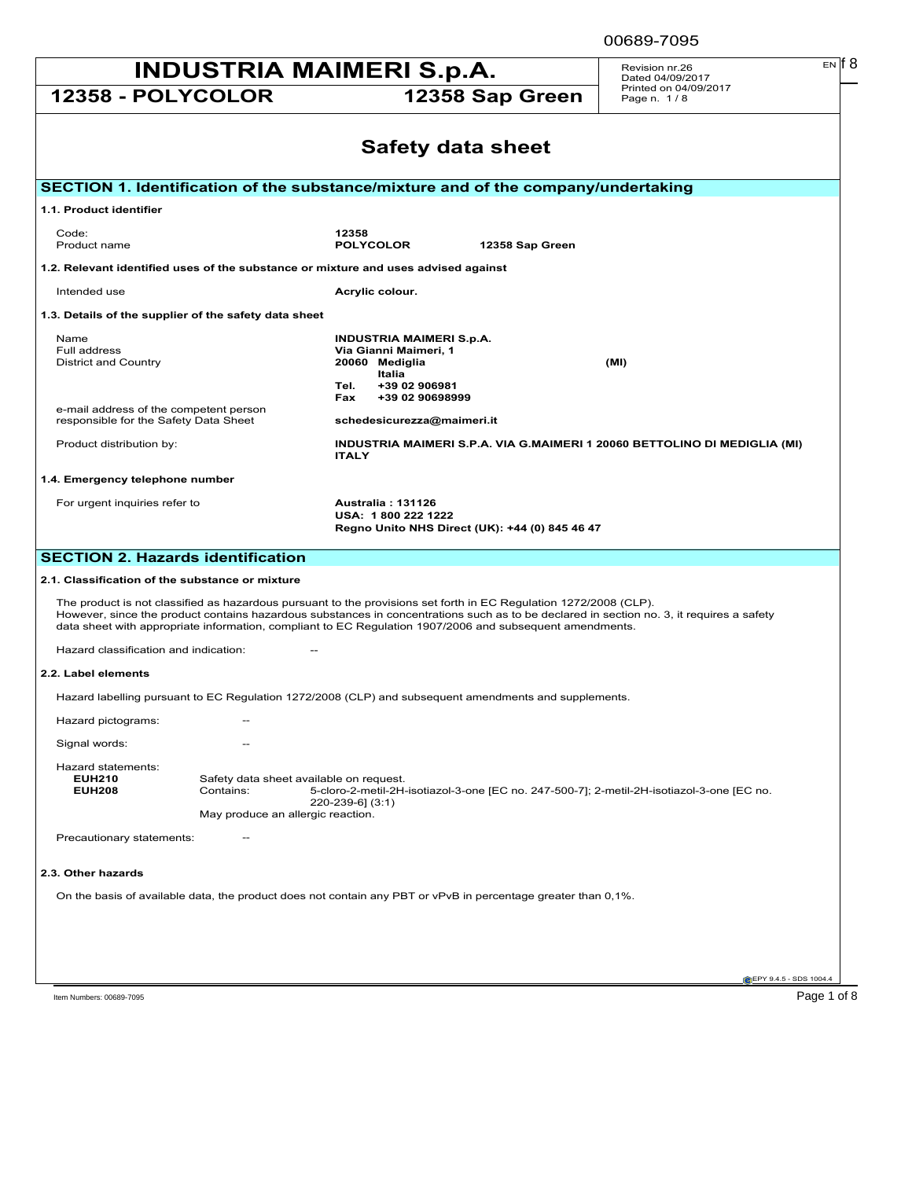| <b>INDUSTRIA MAIMERI S.p.A.</b>                                                    | Revision nr.26<br>Dated 04/09/2017 | $EN$ $6$                                                                  |                          |                                                                           |  |  |
|------------------------------------------------------------------------------------|------------------------------------|---------------------------------------------------------------------------|--------------------------|---------------------------------------------------------------------------|--|--|
| 12358 - POLYCOLOR                                                                  |                                    |                                                                           | 12358 Sap Green          | Printed on 04/09/2017<br>Page n. 1/8                                      |  |  |
|                                                                                    |                                    |                                                                           | <b>Safety data sheet</b> |                                                                           |  |  |
| SECTION 1. Identification of the substance/mixture and of the company/undertaking  |                                    |                                                                           |                          |                                                                           |  |  |
| 1.1. Product identifier                                                            |                                    |                                                                           |                          |                                                                           |  |  |
| Code:<br>Product name                                                              | 12358<br><b>POLYCOLOR</b>          |                                                                           | 12358 Sap Green          |                                                                           |  |  |
| 1.2. Relevant identified uses of the substance or mixture and uses advised against |                                    |                                                                           |                          |                                                                           |  |  |
| Intended use                                                                       | Acrylic colour.                    |                                                                           |                          |                                                                           |  |  |
| 1.3. Details of the supplier of the safety data sheet                              |                                    |                                                                           |                          |                                                                           |  |  |
| Name<br>Full address<br><b>District and Country</b>                                | 20060 Mediglia                     | <b>INDUSTRIA MAIMERI S.p.A.</b><br>Via Gianni Maimeri, 1<br><b>Italia</b> |                          | (MI)                                                                      |  |  |
|                                                                                    | Tel.<br>Fax                        | +39 02 906981<br>+39 02 90698999                                          |                          |                                                                           |  |  |
| e-mail address of the competent person<br>responsible for the Safety Data Sheet    |                                    | schedesicurezza@maimeri.it                                                |                          |                                                                           |  |  |
| Product distribution by:                                                           | <b>ITALY</b>                       |                                                                           |                          | INDUSTRIA MAIMERI S.P.A. VIA G.MAIMERI 1 20060 BETTOLINO DI MEDIGLIA (MI) |  |  |

00689-7095

### **1.4. Emergency telephone number**

For urgent inquiries refer to **Australia : 131126**

**USA: 1 800 222 1222 Regno Unito NHS Direct (UK): +44 (0) 845 46 47**

## **SECTION 2. Hazards identification**

#### **2.1. Classification of the substance or mixture**

The product is not classified as hazardous pursuant to the provisions set forth in EC Regulation 1272/2008 (CLP). However, since the product contains hazardous substances in concentrations such as to be declared in section no. 3, it requires a safety<br>data sheet with appropriate information, compliant to EC Regulation 1907/2006 and sub

Hazard classification and indication: --

## **2.2. Label elements**

Hazard labelling pursuant to EC Regulation 1272/2008 (CLP) and subsequent amendments and supplements.

| Hazard pictograms:                  | $- -$                                   |                                                                                           |  |  |
|-------------------------------------|-----------------------------------------|-------------------------------------------------------------------------------------------|--|--|
| Signal words:                       | $- -$                                   |                                                                                           |  |  |
| Hazard statements:<br><b>EUH210</b> |                                         |                                                                                           |  |  |
|                                     | Safety data sheet available on request. |                                                                                           |  |  |
| <b>EUH208</b>                       | Contains:                               | 5-cloro-2-metil-2H-isotiazol-3-one [EC no. 247-500-7]; 2-metil-2H-isotiazol-3-one [EC no. |  |  |
|                                     |                                         | 220-239-61 (3:1)                                                                          |  |  |
|                                     | May produce an allergic reaction.       |                                                                                           |  |  |
|                                     |                                         |                                                                                           |  |  |
| Precautionary statements:           | $- -$                                   |                                                                                           |  |  |

#### **2.3. Other hazards**

On the basis of available data, the product does not contain any PBT or vPvB in percentage greater than 0,1%.

**EPY 9.4.5 - SDS 1004.** 

Item Numbers: 00689-7095 Page 1 of 8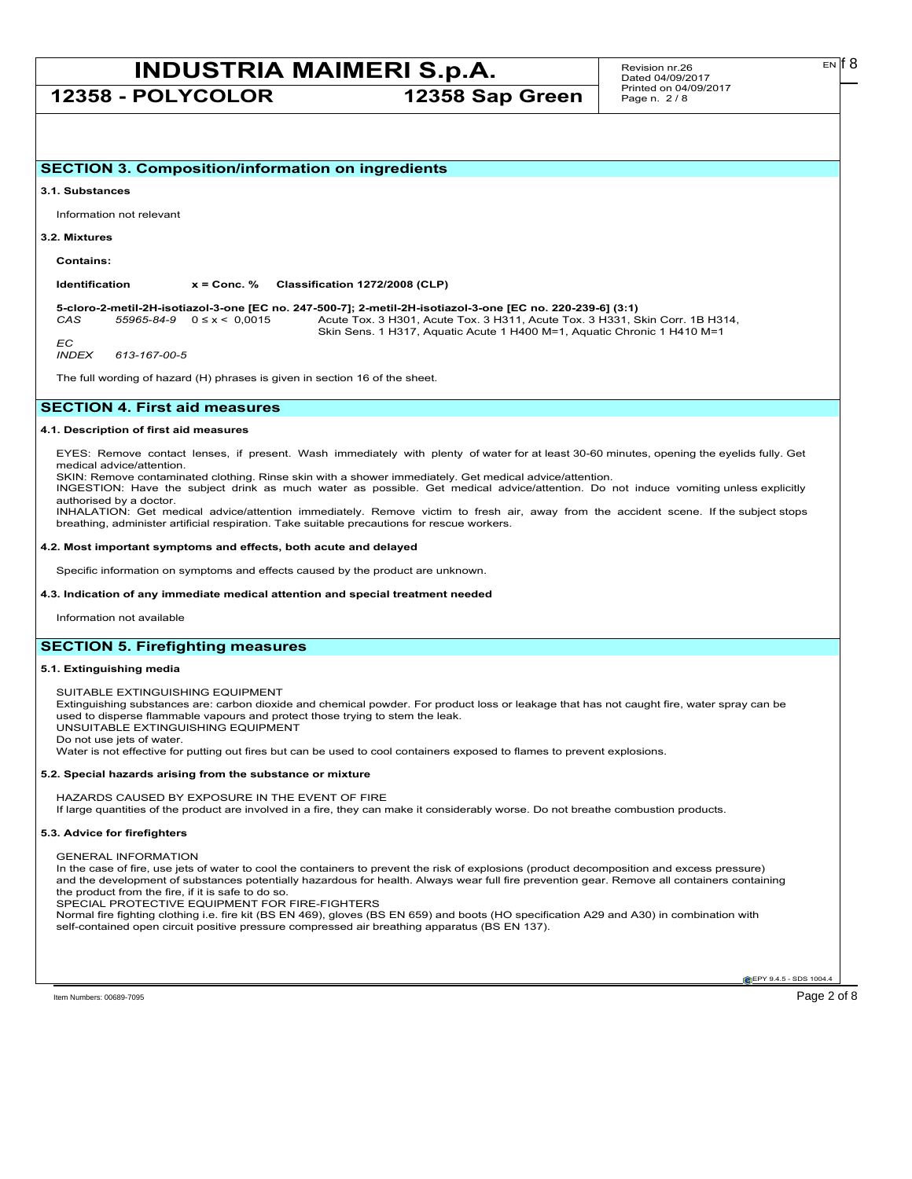**12358 - POLYCOLOR 12358 Sap Green**

#### **3.1. Substances**

Information not relevant

#### **3.2. Mixtures**

**Contains:**

**Identification x = Conc. % Classification 1272/2008 (CLP)**

**5-cloro-2-metil-2H-isotiazol-3-one [EC no. 247-500-7]; 2-metil-2H-isotiazol-3-one [EC no. 220-239-6] (3:1)** *CAS 55965-84-9* 0 ≤ x < 0,0015 Acute Tox. 3 H301, Acute Tox. 3 H311, Acute Tox. 3 H331, Skin Corr. 1B H314, Skin Sens. 1 H317, Aquatic Acute 1 H400 M=1, Aquatic Chronic 1 H410 M=1

*EC*<br>INDEX *INDEX 613-167-00-5*

The full wording of hazard (H) phrases is given in section 16 of the sheet.

## **SECTION 4. First aid measures**

### **4.1. Description of first aid measures**

EYES: Remove contact lenses, if present. Wash immediately with plenty of water for at least 30-60 minutes, opening the eyelids fully. Get medical advice/attention.

SKIN: Remove contaminated clothing. Rinse skin with a shower immediately. Get medical advice/attention.

INGESTION: Have the subject drink as much water as possible. Get medical advice/attention. Do not induce vomiting unless explicitly authorised by a doctor.

INHALATION: Get medical advice/attention immediately. Remove victim to fresh air, away from the accident scene. If the subject stops breathing, administer artificial respiration. Take suitable precautions for rescue workers.

#### **4.2. Most important symptoms and effects, both acute and delayed**

Specific information on symptoms and effects caused by the product are unknown.

#### **4.3. Indication of any immediate medical attention and special treatment needed**

Information not available

## **SECTION 5. Firefighting measures**

#### **5.1. Extinguishing media**

SUITABLE EXTINGUISHING EQUIPMENT

Extinguishing substances are: carbon dioxide and chemical powder. For product loss or leakage that has not caught fire, water spray can be used to disperse flammable vapours and protect those trying to stem the leak.

UNSUITABLE EXTINGUISHING EQUIPMENT Do not use jets of water.

Water is not effective for putting out fires but can be used to cool containers exposed to flames to prevent explosions.

#### **5.2. Special hazards arising from the substance or mixture**

HAZARDS CAUSED BY EXPOSURE IN THE EVENT OF FIRE If large quantities of the product are involved in a fire, they can make it considerably worse. Do not breathe combustion products.

#### **5.3. Advice for firefighters**

GENERAL INFORMATION

In the case of fire, use jets of water to cool the containers to prevent the risk of explosions (product decomposition and excess pressure) and the development of substances potentially hazardous for health. Always wear full fire prevention gear. Remove all containers containing the product from the fire, if it is safe to do so.

SPECIAL PROTECTIVE EQUIPMENT FOR FIRE-FIGHTERS

Normal fire fighting clothing i.e. fire kit (BS EN 469), gloves (BS EN 659) and boots (HO specification A29 and A30) in combination with self-contained open circuit positive pressure compressed air breathing apparatus (BS EN 137).

**EPY 9.4.5 - SDS 1004.**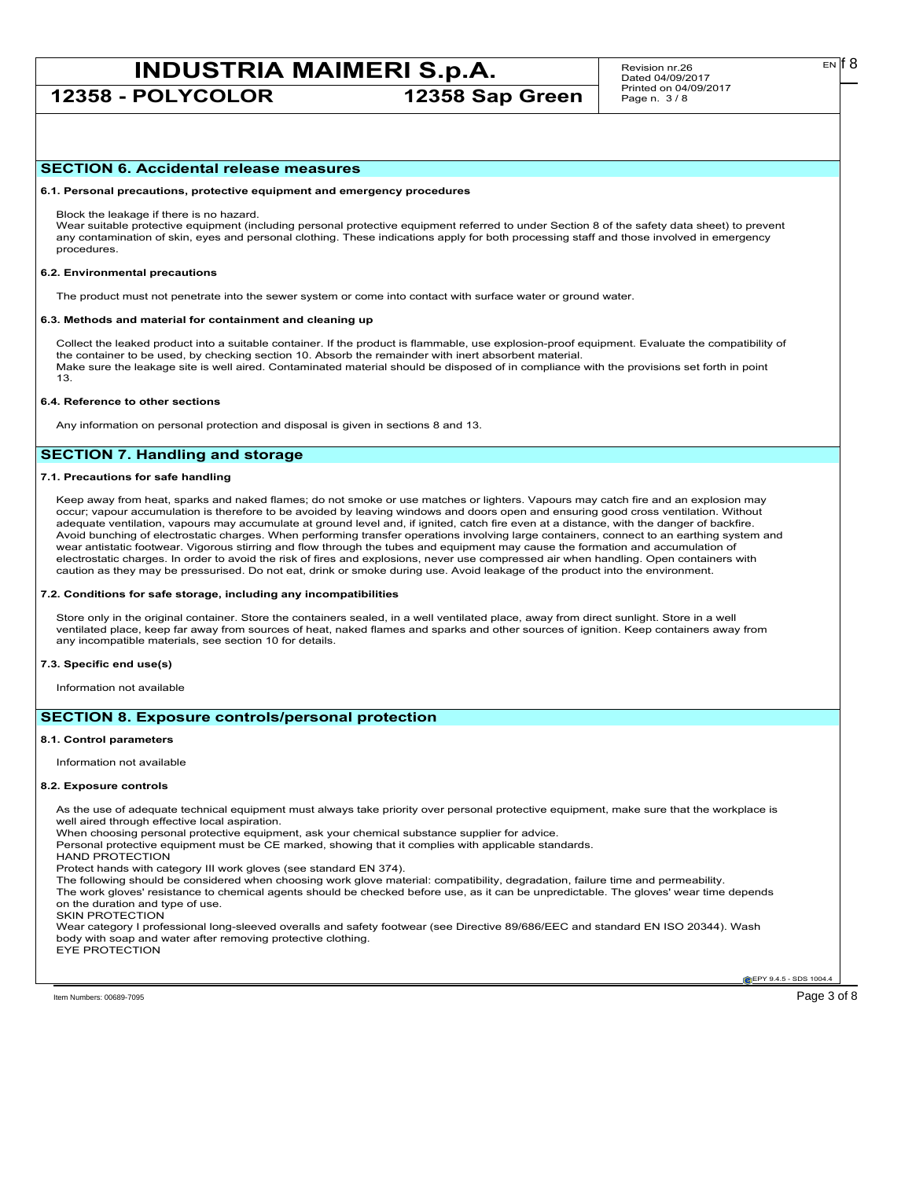**12358 - POLYCOLOR 12358 Sap Green**

Revision nr.26 Dated 04/09/2017 Printed on 04/09/2017 Page n. 3 / 8

#### **SECTION 6. Accidental release measures**

**6.1. Personal precautions, protective equipment and emergency procedures**

Block the leakage if there is no hazard.

Wear suitable protective equipment (including personal protective equipment referred to under Section 8 of the safety data sheet) to prevent any contamination of skin, eyes and personal clothing. These indications apply for both processing staff and those involved in emergency procedures.

#### **6.2. Environmental precautions**

The product must not penetrate into the sewer system or come into contact with surface water or ground water.

#### **6.3. Methods and material for containment and cleaning up**

Collect the leaked product into a suitable container. If the product is flammable, use explosion-proof equipment. Evaluate the compatibility of the container to be used, by checking section 10. Absorb the remainder with inert absorbent material. Make sure the leakage site is well aired. Contaminated material should be disposed of in compliance with the provisions set forth in point 13.

#### **6.4. Reference to other sections**

Any information on personal protection and disposal is given in sections 8 and 13.

## **SECTION 7. Handling and storage**

#### **7.1. Precautions for safe handling**

Keep away from heat, sparks and naked flames; do not smoke or use matches or lighters. Vapours may catch fire and an explosion may occur; vapour accumulation is therefore to be avoided by leaving windows and doors open and ensuring good cross ventilation. Without adequate ventilation, vapours may accumulate at ground level and, if ignited, catch fire even at a distance, with the danger of backfire. Avoid bunching of electrostatic charges. When performing transfer operations involving large containers, connect to an earthing system and wear antistatic footwear. Vigorous stirring and flow through the tubes and equipment may cause the formation and accumulation of electrostatic charges. In order to avoid the risk of fires and explosions, never use compressed air when handling. Open containers with caution as they may be pressurised. Do not eat, drink or smoke during use. Avoid leakage of the product into the environment.

#### **7.2. Conditions for safe storage, including any incompatibilities**

Store only in the original container. Store the containers sealed, in a well ventilated place, away from direct sunlight. Store in a well ventilated place, keep far away from sources of heat, naked flames and sparks and other sources of ignition. Keep containers away from any incompatible materials, see section 10 for details.

#### **7.3. Specific end use(s)**

Information not available

## **SECTION 8. Exposure controls/personal protection**

#### **8.1. Control parameters**

Information not available

#### **8.2. Exposure controls**

As the use of adequate technical equipment must always take priority over personal protective equipment, make sure that the workplace is well aired through effective local aspiration.

When choosing personal protective equipment, ask your chemical substance supplier for advice.

Personal protective equipment must be CE marked, showing that it complies with applicable standards.

HAND PROTECTION

Protect hands with category III work gloves (see standard EN 374).

The following should be considered when choosing work glove material: compatibility, degradation, failure time and permeability. The work gloves' resistance to chemical agents should be checked before use, as it can be unpredictable. The gloves' wear time depends

on the duration and type of use.

SKIN PROTECTION

Wear category I professional long-sleeved overalls and safety footwear (see Directive 89/686/EEC and standard EN ISO 20344). Wash body with soap and water after removing protective clothing.

EYE PROTECTION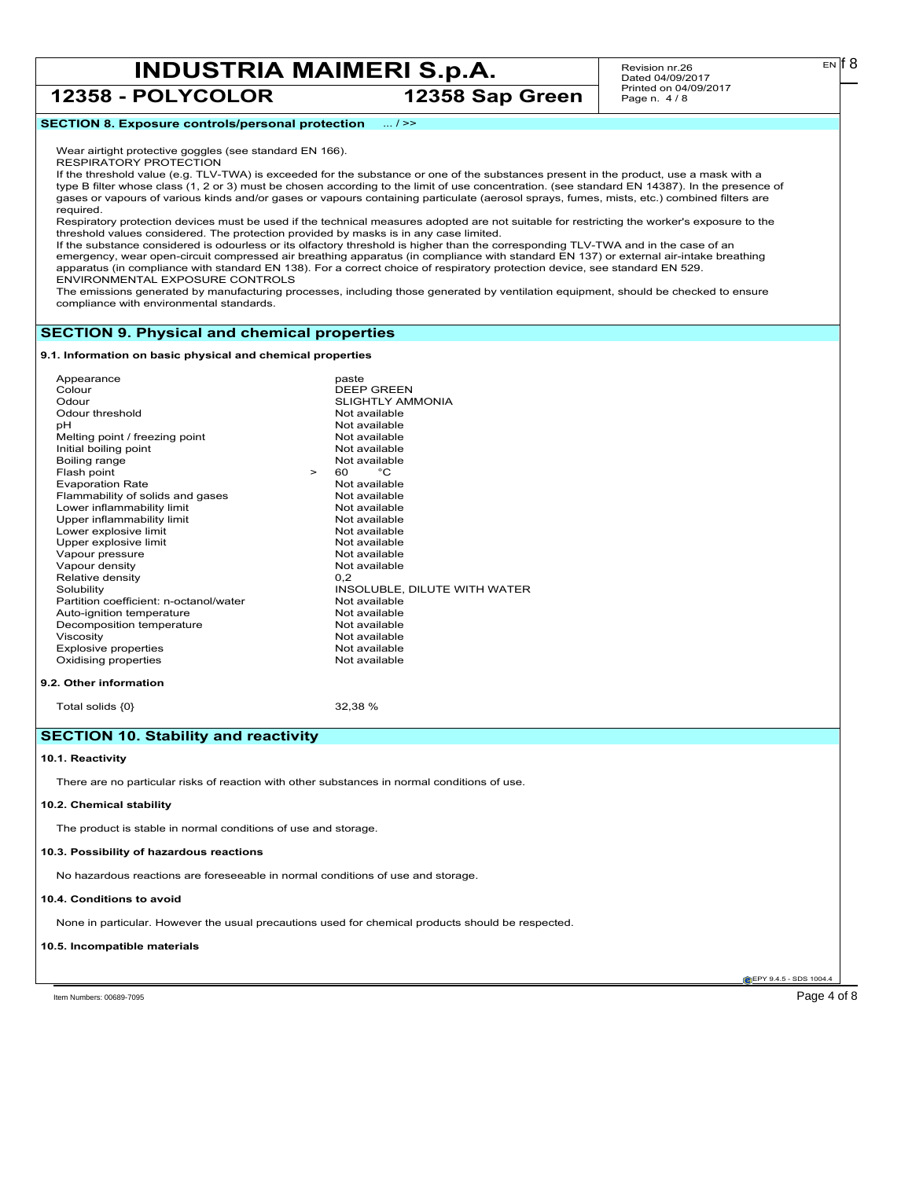**12358 - POLYCOLOR 12358 Sap Green**

Revision nr.26 Dated 04/09/2017 Printed on 04/09/2017 Page n. 4 / 8

## **SECTION 8. Exposure controls/personal protection** ... / >>

Wear airtight protective goggles (see standard EN 166).

RESPIRATORY PROTECTION

If the threshold value (e.g. TLV-TWA) is exceeded for the substance or one of the substances present in the product, use a mask with a type B filter whose class (1, 2 or 3) must be chosen according to the limit of use concentration. (see standard EN 14387). In the presence of gases or vapours of various kinds and/or gases or vapours containing particulate (aerosol sprays, fumes, mists, etc.) combined filters are required.

Respiratory protection devices must be used if the technical measures adopted are not suitable for restricting the worker's exposure to the threshold values considered. The protection provided by masks is in any case limited.

If the substance considered is odourless or its olfactory threshold is higher than the corresponding TLV-TWA and in the case of an emergency, wear open-circuit compressed air breathing apparatus (in compliance with standard EN 137) or external air-intake breathing apparatus (in compliance with standard EN 138). For a correct choice of respiratory protection device, see standard EN 529. ENVIRONMENTAL EXPOSURE CONTROLS

The emissions generated by manufacturing processes, including those generated by ventilation equipment, should be checked to ensure compliance with environmental standards.

### **SECTION 9. Physical and chemical properties**

**9.1. Information on basic physical and chemical properties**

| Appearance                             |        | paste                        |
|----------------------------------------|--------|------------------------------|
| Colour                                 |        | <b>DEEP GREEN</b>            |
| Odour                                  |        | <b>SLIGHTLY AMMONIA</b>      |
| Odour threshold                        |        | Not available                |
| рH                                     |        | Not available                |
| Melting point / freezing point         |        | Not available                |
| Initial boiling point                  |        | Not available                |
| Boiling range                          |        | Not available                |
| Flash point                            | $\geq$ | °C<br>60                     |
| <b>Evaporation Rate</b>                |        | Not available                |
| Flammability of solids and gases       |        | Not available                |
| Lower inflammability limit             |        | Not available                |
| Upper inflammability limit             |        | Not available                |
| Lower explosive limit                  |        | Not available                |
| Upper explosive limit                  |        | Not available                |
| Vapour pressure                        |        | Not available                |
| Vapour density                         |        | Not available                |
| Relative density                       |        | 0.2                          |
| Solubility                             |        | INSOLUBLE, DILUTE WITH WATER |
| Partition coefficient: n-octanol/water |        | Not available                |
| Auto-ignition temperature              |        | Not available                |
| Decomposition temperature              |        | Not available                |
| Viscosity                              |        | Not available                |
| Explosive properties                   |        | Not available                |
| Oxidising properties                   |        | Not available                |
|                                        |        |                              |
| 9.2. Other information                 |        |                              |
|                                        |        |                              |

Total solids  ${0}$  32,38 %

## **SECTION 10. Stability and reactivity**

#### **10.1. Reactivity**

There are no particular risks of reaction with other substances in normal conditions of use.

#### **10.2. Chemical stability**

The product is stable in normal conditions of use and storage.

#### **10.3. Possibility of hazardous reactions**

No hazardous reactions are foreseeable in normal conditions of use and storage.

#### **10.4. Conditions to avoid**

None in particular. However the usual precautions used for chemical products should be respected.

#### **10.5. Incompatible materials**

**EPY 9.4.5 - SDS 1004** 

Item Numbers: 00689-7095 Page 4 of 8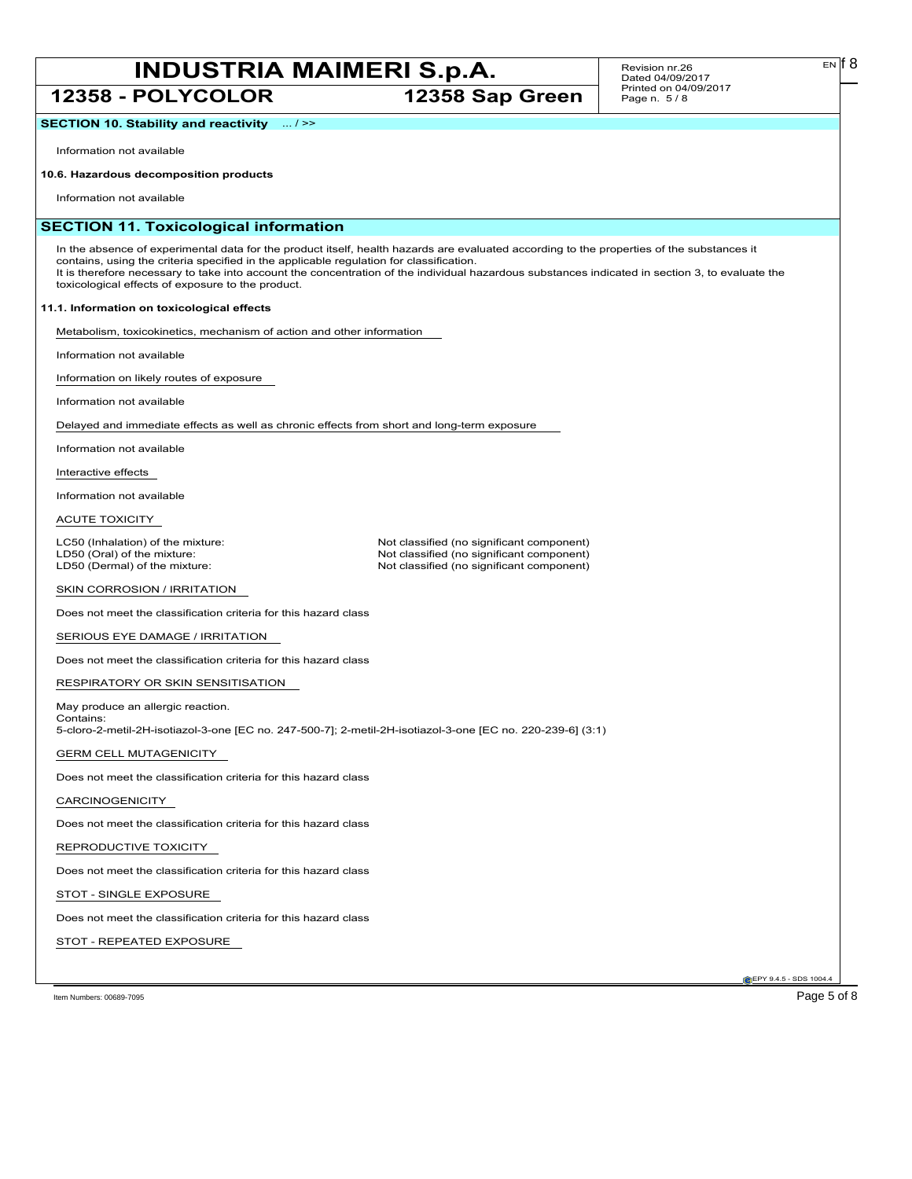**12358 - POLYCOLOR 12358 Sap Green**

#### Revision nr.26 Dated 04/09/2017 Printed on 04/09/2017 Page n. 5 / 8

**SECTION 10. Stability and reactivity** ... / >>

Information not available

## **10.6. Hazardous decomposition products**

Information not available

## **SECTION 11. Toxicological information**

In the absence of experimental data for the product itself, health hazards are evaluated according to the properties of the substances it contains, using the criteria specified in the applicable regulation for classification. It is therefore necessary to take into account the concentration of the individual hazardous substances indicated in section 3, to evaluate the toxicological effects of exposure to the product.

## **11.1. Information on toxicological effects**

Metabolism, toxicokinetics, mechanism of action and other information

Information not available

Information on likely routes of exposure

Information not available

Delayed and immediate effects as well as chronic effects from short and long-term exposure

Information not available

Interactive effects

Information not available

ACUTE TOXICITY

LC50 (Inhalation) of the mixture: Not classified (no significant component)<br>
LD50 (Oral) of the mixture: Not classified (no significant component) LD50 (Oral) of the mixture: Not classified (no significant component)<br>
LD50 (Dermal) of the mixture: Not classified (no significant component) Not classified (no significant component)

SKIN CORROSION / IRRITATION

Does not meet the classification criteria for this hazard class

SERIOUS EYE DAMAGE / IRRITATION

Does not meet the classification criteria for this hazard class

RESPIRATORY OR SKIN SENSITISATION

May produce an allergic reaction. Contains: 5-cloro-2-metil-2H-isotiazol-3-one [EC no. 247-500-7]; 2-metil-2H-isotiazol-3-one [EC no. 220-239-6] (3:1)

GERM CELL MUTAGENICITY

Does not meet the classification criteria for this hazard class

CARCINOGENICITY

Does not meet the classification criteria for this hazard class

REPRODUCTIVE TOXICITY

Does not meet the classification criteria for this hazard class

STOT - SINGLE EXPOSURE

Does not meet the classification criteria for this hazard class

STOT - REPEATED EXPOSURE

Item Numbers: 00689-7095 Page 5 of 8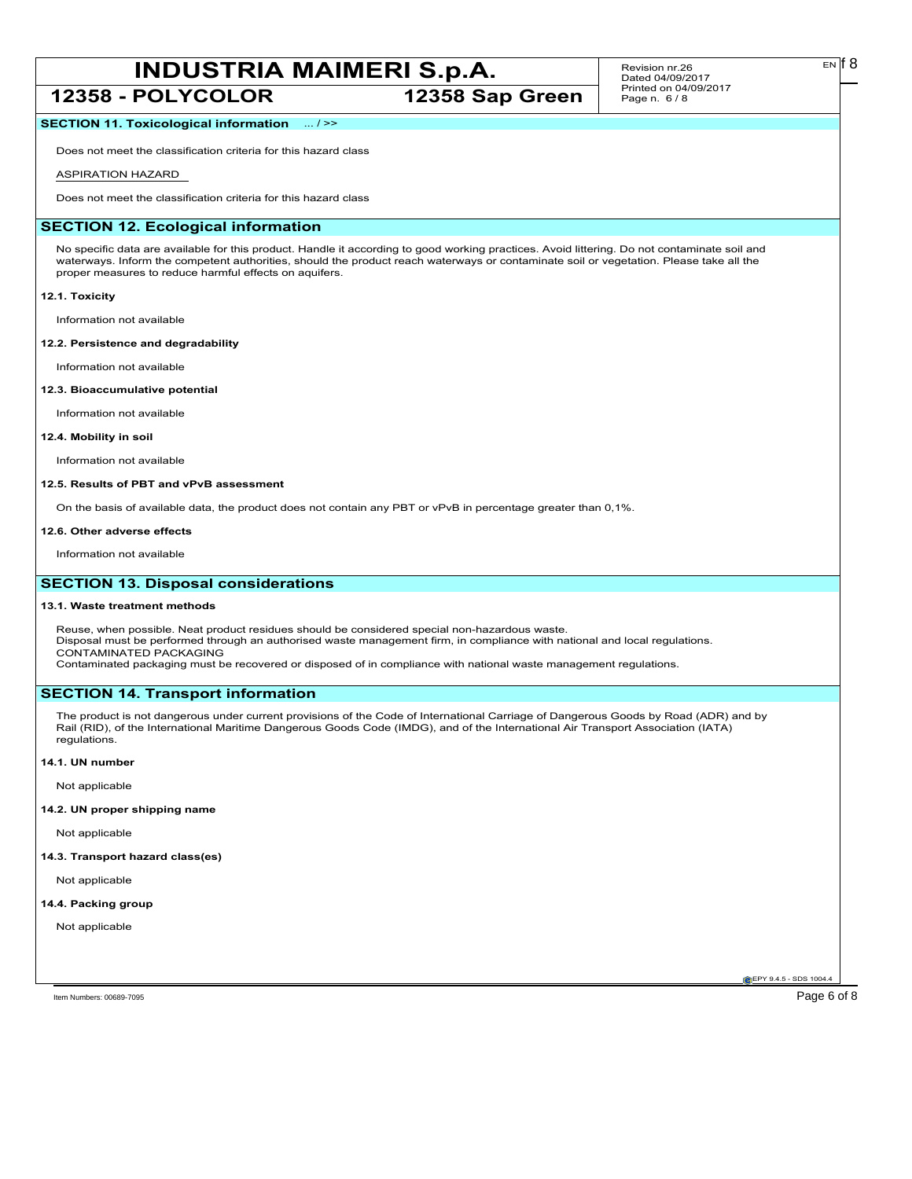## **12358 - POLYCOLOR 12358 Sap Green**

#### Revision nr.26 Dated 04/09/2017 Printed on 04/09/2017 Page n. 6 / 8

## **SECTION 11. Toxicological information** ... / >>

Does not meet the classification criteria for this hazard class

## ASPIRATION HAZARD

Does not meet the classification criteria for this hazard class

## **SECTION 12. Ecological information**

No specific data are available for this product. Handle it according to good working practices. Avoid littering. Do not contaminate soil and waterways. Inform the competent authorities, should the product reach waterways or contaminate soil or vegetation. Please take all the proper measures to reduce harmful effects on aquifers.

#### **12.1. Toxicity**

Information not available

#### **12.2. Persistence and degradability**

Information not available

### **12.3. Bioaccumulative potential**

Information not available

#### **12.4. Mobility in soil**

Information not available

### **12.5. Results of PBT and vPvB assessment**

On the basis of available data, the product does not contain any PBT or vPvB in percentage greater than 0,1%.

#### **12.6. Other adverse effects**

Information not available

## **SECTION 13. Disposal considerations**

#### **13.1. Waste treatment methods**

Reuse, when possible. Neat product residues should be considered special non-hazardous waste. Disposal must be performed through an authorised waste management firm, in compliance with national and local regulations. CONTAMINATED PACKAGING Contaminated packaging must be recovered or disposed of in compliance with national waste management regulations.

## **SECTION 14. Transport information**

The product is not dangerous under current provisions of the Code of International Carriage of Dangerous Goods by Road (ADR) and by Rail (RID), of the International Maritime Dangerous Goods Code (IMDG), and of the International Air Transport Association (IATA) regulations.

#### **14.1. UN number**

Not applicable

## **14.2. UN proper shipping name**

Not applicable

#### **14.3. Transport hazard class(es)**

Not applicable

### **14.4. Packing group**

Not applicable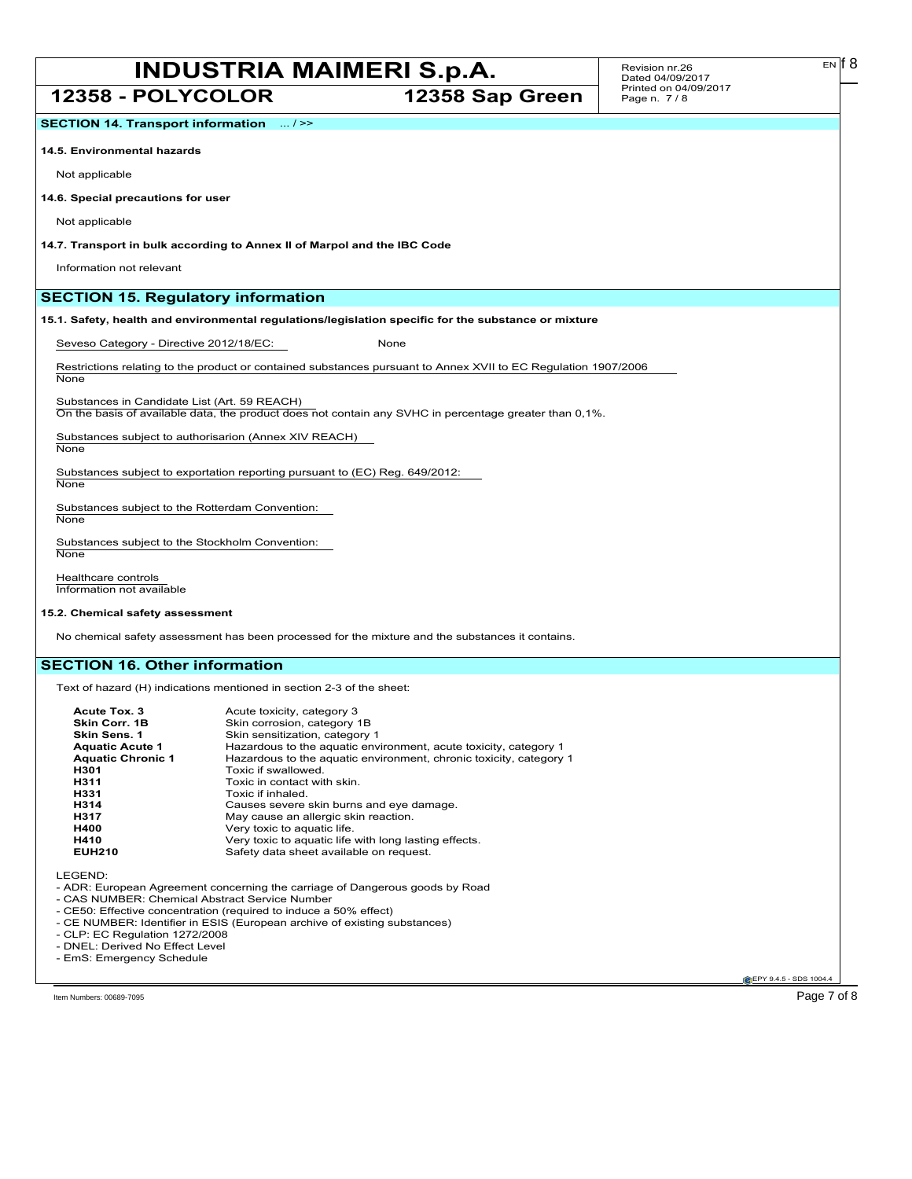**12358 - POLYCOLOR 12358 Sap Green**

**SECTION 14. Transport information** ... / >>

## **14.5. Environmental hazards**

Not applicable

## **14.6. Special precautions for user**

Not applicable

**14.7. Transport in bulk according to Annex II of Marpol and the IBC Code**

Information not relevant

## **SECTION 15. Regulatory information**

**15.1. Safety, health and environmental regulations/legislation specific for the substance or mixture**

Seveso Category - Directive 2012/18/EC: None

Restrictions relating to the product or contained substances pursuant to Annex XVII to EC Regulation 1907/2006 None

Substances in Candidate List (Art. 59 REACH) On the basis of available data, the product does not contain any SVHC in percentage greater than 0,1%.

Substances subject to authorisarion (Annex XIV REACH) **None** 

Substances subject to exportation reporting pursuant to (EC) Reg. 649/2012: **None** 

Substances subject to the Rotterdam Convention: **None** 

Substances subject to the Stockholm Convention: **None** 

Healthcare controls Information not available

### **15.2. Chemical safety assessment**

No chemical safety assessment has been processed for the mixture and the substances it contains.

## **SECTION 16. Other information**

Text of hazard (H) indications mentioned in section 2-3 of the sheet:

| Acute Tox. 3             | Acute toxicity, category 3                                         |
|--------------------------|--------------------------------------------------------------------|
| Skin Corr. 1B            | Skin corrosion, category 1B                                        |
| Skin Sens. 1             | Skin sensitization, category 1                                     |
| <b>Aquatic Acute 1</b>   | Hazardous to the aquatic environment, acute toxicity, category 1   |
| <b>Aquatic Chronic 1</b> | Hazardous to the aquatic environment, chronic toxicity, category 1 |
| H301                     | Toxic if swallowed.                                                |
| H311                     | Toxic in contact with skin.                                        |
| H331                     | Toxic if inhaled.                                                  |
| H314                     | Causes severe skin burns and eye damage.                           |
| H317                     | May cause an allergic skin reaction.                               |
| H400                     | Very toxic to aquatic life.                                        |
| H410                     | Very toxic to aquatic life with long lasting effects.              |
| <b>EUH210</b>            | Safety data sheet available on request.                            |

LEGEND:

- ADR: European Agreement concerning the carriage of Dangerous goods by Road

- CAS NUMBER: Chemical Abstract Service Number

- CE50: Effective concentration (required to induce a 50% effect)

- CE NUMBER: Identifier in ESIS (European archive of existing substances)
- CLP: EC Regulation 1272/2008
- DNEL: Derived No Effect Level

- EmS: Emergency Schedule